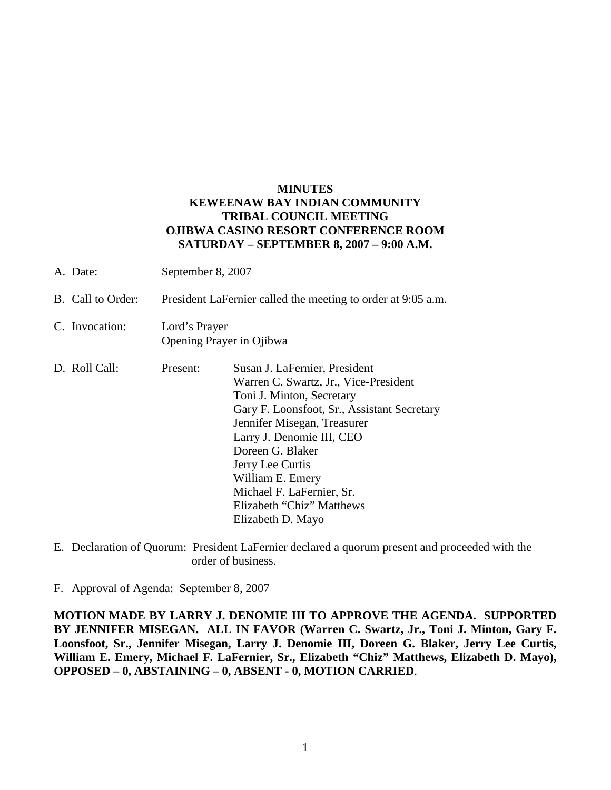## **MINUTES KEWEENAW BAY INDIAN COMMUNITY TRIBAL COUNCIL MEETING OJIBWA CASINO RESORT CONFERENCE ROOM SATURDAY – SEPTEMBER 8, 2007 – 9:00 A.M.**

| A. Date:          | September 8, 2007                                            |                                                                                                                                                                                                                                                                                                                                                           |
|-------------------|--------------------------------------------------------------|-----------------------------------------------------------------------------------------------------------------------------------------------------------------------------------------------------------------------------------------------------------------------------------------------------------------------------------------------------------|
| B. Call to Order: | President LaFernier called the meeting to order at 9:05 a.m. |                                                                                                                                                                                                                                                                                                                                                           |
| C. Invocation:    | Lord's Prayer<br>Opening Prayer in Ojibwa                    |                                                                                                                                                                                                                                                                                                                                                           |
| D. Roll Call:     | Present:                                                     | Susan J. LaFernier, President<br>Warren C. Swartz, Jr., Vice-President<br>Toni J. Minton, Secretary<br>Gary F. Loonsfoot, Sr., Assistant Secretary<br>Jennifer Misegan, Treasurer<br>Larry J. Denomie III, CEO<br>Doreen G. Blaker<br>Jerry Lee Curtis<br>William E. Emery<br>Michael F. LaFernier, Sr.<br>Elizabeth "Chiz" Matthews<br>Elizabeth D. Mayo |

E. Declaration of Quorum: President LaFernier declared a quorum present and proceeded with the order of business.

F. Approval of Agenda: September 8, 2007

**MOTION MADE BY LARRY J. DENOMIE III TO APPROVE THE AGENDA. SUPPORTED BY JENNIFER MISEGAN. ALL IN FAVOR (Warren C. Swartz, Jr., Toni J. Minton, Gary F. Loonsfoot, Sr., Jennifer Misegan, Larry J. Denomie III, Doreen G. Blaker, Jerry Lee Curtis, William E. Emery, Michael F. LaFernier, Sr., Elizabeth "Chiz" Matthews, Elizabeth D. Mayo), OPPOSED – 0, ABSTAINING – 0, ABSENT - 0, MOTION CARRIED**.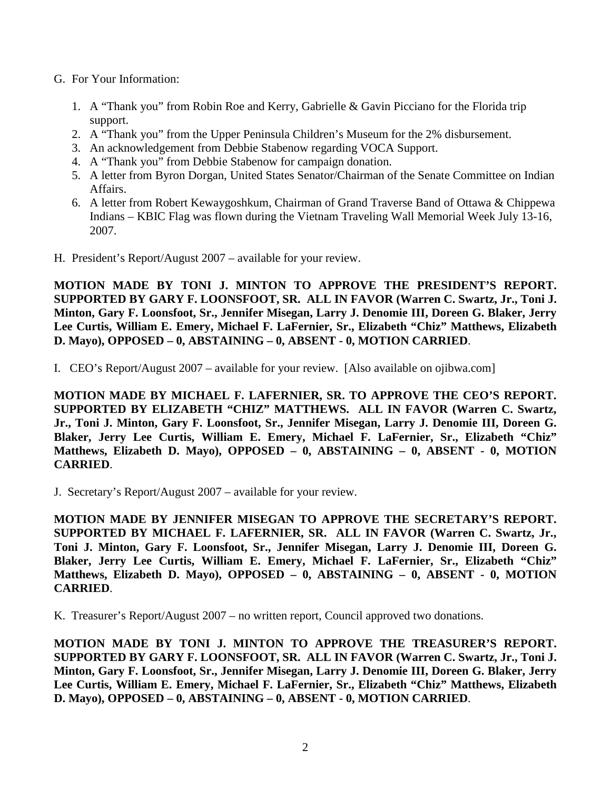- G. For Your Information:
	- 1. A "Thank you" from Robin Roe and Kerry, Gabrielle & Gavin Picciano for the Florida trip support.
	- 2. A "Thank you" from the Upper Peninsula Children's Museum for the 2% disbursement.
	- 3. An acknowledgement from Debbie Stabenow regarding VOCA Support.
	- 4. A "Thank you" from Debbie Stabenow for campaign donation.
	- 5. A letter from Byron Dorgan, United States Senator/Chairman of the Senate Committee on Indian Affairs.
	- 6. A letter from Robert Kewaygoshkum, Chairman of Grand Traverse Band of Ottawa & Chippewa Indians – KBIC Flag was flown during the Vietnam Traveling Wall Memorial Week July 13-16, 2007.
- H. President's Report/August 2007 available for your review.

**MOTION MADE BY TONI J. MINTON TO APPROVE THE PRESIDENT'S REPORT. SUPPORTED BY GARY F. LOONSFOOT, SR. ALL IN FAVOR (Warren C. Swartz, Jr., Toni J. Minton, Gary F. Loonsfoot, Sr., Jennifer Misegan, Larry J. Denomie III, Doreen G. Blaker, Jerry Lee Curtis, William E. Emery, Michael F. LaFernier, Sr., Elizabeth "Chiz" Matthews, Elizabeth D. Mayo), OPPOSED – 0, ABSTAINING – 0, ABSENT - 0, MOTION CARRIED**.

I. CEO's Report/August 2007 – available for your review. [Also available on ojibwa.com]

**MOTION MADE BY MICHAEL F. LAFERNIER, SR. TO APPROVE THE CEO'S REPORT. SUPPORTED BY ELIZABETH "CHIZ" MATTHEWS. ALL IN FAVOR (Warren C. Swartz, Jr., Toni J. Minton, Gary F. Loonsfoot, Sr., Jennifer Misegan, Larry J. Denomie III, Doreen G. Blaker, Jerry Lee Curtis, William E. Emery, Michael F. LaFernier, Sr., Elizabeth "Chiz" Matthews, Elizabeth D. Mayo), OPPOSED – 0, ABSTAINING – 0, ABSENT - 0, MOTION CARRIED**.

J. Secretary's Report/August 2007 – available for your review.

**MOTION MADE BY JENNIFER MISEGAN TO APPROVE THE SECRETARY'S REPORT. SUPPORTED BY MICHAEL F. LAFERNIER, SR. ALL IN FAVOR (Warren C. Swartz, Jr., Toni J. Minton, Gary F. Loonsfoot, Sr., Jennifer Misegan, Larry J. Denomie III, Doreen G. Blaker, Jerry Lee Curtis, William E. Emery, Michael F. LaFernier, Sr., Elizabeth "Chiz" Matthews, Elizabeth D. Mayo), OPPOSED – 0, ABSTAINING – 0, ABSENT - 0, MOTION CARRIED**.

K. Treasurer's Report/August 2007 – no written report, Council approved two donations.

**MOTION MADE BY TONI J. MINTON TO APPROVE THE TREASURER'S REPORT. SUPPORTED BY GARY F. LOONSFOOT, SR. ALL IN FAVOR (Warren C. Swartz, Jr., Toni J. Minton, Gary F. Loonsfoot, Sr., Jennifer Misegan, Larry J. Denomie III, Doreen G. Blaker, Jerry Lee Curtis, William E. Emery, Michael F. LaFernier, Sr., Elizabeth "Chiz" Matthews, Elizabeth D. Mayo), OPPOSED – 0, ABSTAINING – 0, ABSENT - 0, MOTION CARRIED**.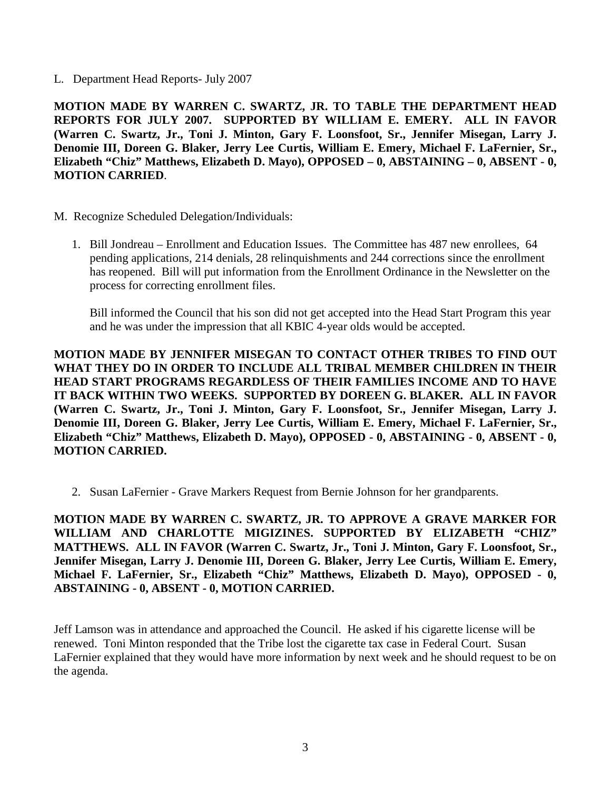L. Department Head Reports- July 2007

**MOTION MADE BY WARREN C. SWARTZ, JR. TO TABLE THE DEPARTMENT HEAD REPORTS FOR JULY 2007. SUPPORTED BY WILLIAM E. EMERY. ALL IN FAVOR (Warren C. Swartz, Jr., Toni J. Minton, Gary F. Loonsfoot, Sr., Jennifer Misegan, Larry J. Denomie III, Doreen G. Blaker, Jerry Lee Curtis, William E. Emery, Michael F. LaFernier, Sr., Elizabeth "Chiz" Matthews, Elizabeth D. Mayo), OPPOSED – 0, ABSTAINING – 0, ABSENT - 0, MOTION CARRIED**.

- M. Recognize Scheduled Delegation/Individuals:
	- 1. Bill Jondreau Enrollment and Education Issues. The Committee has 487 new enrollees, 64 pending applications, 214 denials, 28 relinquishments and 244 corrections since the enrollment has reopened. Bill will put information from the Enrollment Ordinance in the Newsletter on the process for correcting enrollment files.

Bill informed the Council that his son did not get accepted into the Head Start Program this year and he was under the impression that all KBIC 4-year olds would be accepted.

**MOTION MADE BY JENNIFER MISEGAN TO CONTACT OTHER TRIBES TO FIND OUT WHAT THEY DO IN ORDER TO INCLUDE ALL TRIBAL MEMBER CHILDREN IN THEIR HEAD START PROGRAMS REGARDLESS OF THEIR FAMILIES INCOME AND TO HAVE IT BACK WITHIN TWO WEEKS. SUPPORTED BY DOREEN G. BLAKER. ALL IN FAVOR (Warren C. Swartz, Jr., Toni J. Minton, Gary F. Loonsfoot, Sr., Jennifer Misegan, Larry J. Denomie III, Doreen G. Blaker, Jerry Lee Curtis, William E. Emery, Michael F. LaFernier, Sr., Elizabeth "Chiz" Matthews, Elizabeth D. Mayo), OPPOSED - 0, ABSTAINING - 0, ABSENT - 0, MOTION CARRIED.**

2. Susan LaFernier - Grave Markers Request from Bernie Johnson for her grandparents.

**MOTION MADE BY WARREN C. SWARTZ, JR. TO APPROVE A GRAVE MARKER FOR WILLIAM AND CHARLOTTE MIGIZINES. SUPPORTED BY ELIZABETH "CHIZ" MATTHEWS. ALL IN FAVOR (Warren C. Swartz, Jr., Toni J. Minton, Gary F. Loonsfoot, Sr., Jennifer Misegan, Larry J. Denomie III, Doreen G. Blaker, Jerry Lee Curtis, William E. Emery, Michael F. LaFernier, Sr., Elizabeth "Chiz" Matthews, Elizabeth D. Mayo), OPPOSED - 0, ABSTAINING - 0, ABSENT - 0, MOTION CARRIED.**

Jeff Lamson was in attendance and approached the Council. He asked if his cigarette license will be renewed. Toni Minton responded that the Tribe lost the cigarette tax case in Federal Court. Susan LaFernier explained that they would have more information by next week and he should request to be on the agenda.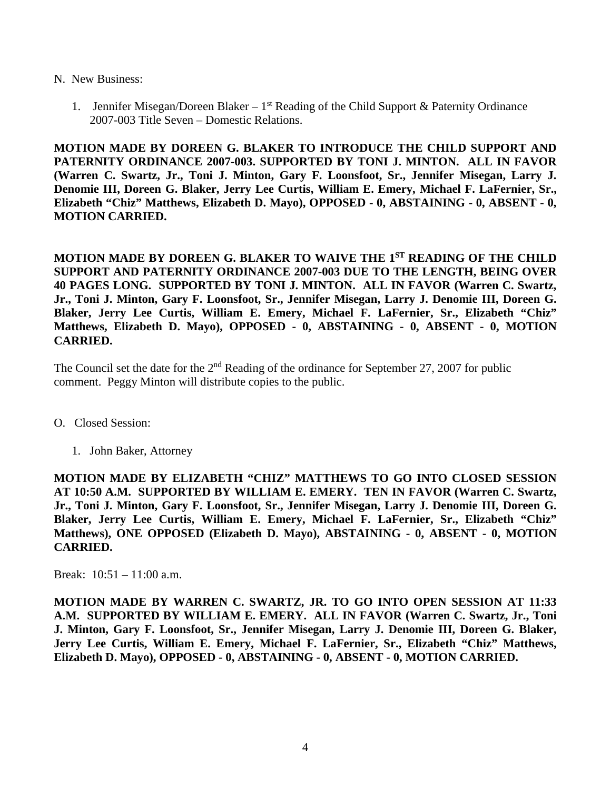## N. New Business:

1. Jennifer Misegan/Doreen Blaker –  $1<sup>st</sup>$  Reading of the Child Support & Paternity Ordinance 2007-003 Title Seven – Domestic Relations.

**MOTION MADE BY DOREEN G. BLAKER TO INTRODUCE THE CHILD SUPPORT AND PATERNITY ORDINANCE 2007-003. SUPPORTED BY TONI J. MINTON. ALL IN FAVOR (Warren C. Swartz, Jr., Toni J. Minton, Gary F. Loonsfoot, Sr., Jennifer Misegan, Larry J. Denomie III, Doreen G. Blaker, Jerry Lee Curtis, William E. Emery, Michael F. LaFernier, Sr., Elizabeth "Chiz" Matthews, Elizabeth D. Mayo), OPPOSED - 0, ABSTAINING - 0, ABSENT - 0, MOTION CARRIED.**

**MOTION MADE BY DOREEN G. BLAKER TO WAIVE THE 1ST READING OF THE CHILD SUPPORT AND PATERNITY ORDINANCE 2007-003 DUE TO THE LENGTH, BEING OVER 40 PAGES LONG. SUPPORTED BY TONI J. MINTON. ALL IN FAVOR (Warren C. Swartz, Jr., Toni J. Minton, Gary F. Loonsfoot, Sr., Jennifer Misegan, Larry J. Denomie III, Doreen G. Blaker, Jerry Lee Curtis, William E. Emery, Michael F. LaFernier, Sr., Elizabeth "Chiz" Matthews, Elizabeth D. Mayo), OPPOSED - 0, ABSTAINING - 0, ABSENT - 0, MOTION CARRIED.**

The Council set the date for the  $2<sup>nd</sup>$  Reading of the ordinance for September 27, 2007 for public comment. Peggy Minton will distribute copies to the public.

- O. Closed Session:
	- 1. John Baker, Attorney

**MOTION MADE BY ELIZABETH "CHIZ" MATTHEWS TO GO INTO CLOSED SESSION AT 10:50 A.M. SUPPORTED BY WILLIAM E. EMERY. TEN IN FAVOR (Warren C. Swartz, Jr., Toni J. Minton, Gary F. Loonsfoot, Sr., Jennifer Misegan, Larry J. Denomie III, Doreen G. Blaker, Jerry Lee Curtis, William E. Emery, Michael F. LaFernier, Sr., Elizabeth "Chiz" Matthews), ONE OPPOSED (Elizabeth D. Mayo), ABSTAINING - 0, ABSENT - 0, MOTION CARRIED.**

Break: 10:51 – 11:00 a.m.

**MOTION MADE BY WARREN C. SWARTZ, JR. TO GO INTO OPEN SESSION AT 11:33 A.M. SUPPORTED BY WILLIAM E. EMERY. ALL IN FAVOR (Warren C. Swartz, Jr., Toni J. Minton, Gary F. Loonsfoot, Sr., Jennifer Misegan, Larry J. Denomie III, Doreen G. Blaker, Jerry Lee Curtis, William E. Emery, Michael F. LaFernier, Sr., Elizabeth "Chiz" Matthews, Elizabeth D. Mayo), OPPOSED - 0, ABSTAINING - 0, ABSENT - 0, MOTION CARRIED.**